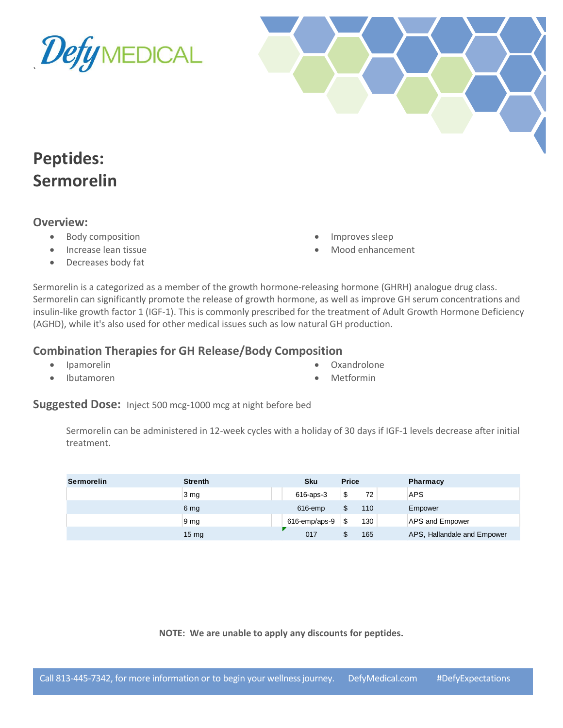



# **Peptides: Sermorelin**

#### **Overview:**

- Body composition
- Increase lean tissue
- Decreases body fat
- Improves sleep
- Mood enhancement

Sermorelin is a categorized as a member of the growth hormone-releasing hormone (GHRH) analogue drug class. Sermorelin can significantly promote the release of growth hormone, as well as improve GH serum concentrations and insulin-like growth factor 1 (IGF-1). This is commonly prescribed for the treatment of Adult Growth Hormone Deficiency (AGHD), while it's also used for other medical issues such as low natural GH production.

### **Combination Therapies for GH Release/Body Composition**

- Ipamorelin
- Ibutamoren
- Oxandrolone
- Metformin

Suggested Dose: Inject 500 mcg-1000 mcg at night before bed

Sermorelin can be administered in 12-week cycles with a holiday of 30 days if IGF-1 levels decrease after initial treatment.

| Sermorelin | <b>Strenth</b>  | <b>Sku</b>    | <b>Price</b> |     | <b>Pharmacy</b>             |
|------------|-----------------|---------------|--------------|-----|-----------------------------|
|            | $3 \text{ mg}$  | 616-aps-3     | \$           | 72  | APS                         |
|            | 6 mg            | 616-emp       | \$           | 110 | Empower                     |
|            | 9 <sub>mg</sub> | 616-emp/aps-9 | \$           | 130 | APS and Empower             |
|            | $15 \text{ mg}$ | 017           |              | 165 | APS, Hallandale and Empower |

**NOTE: We are unable to apply any discounts for peptides.**